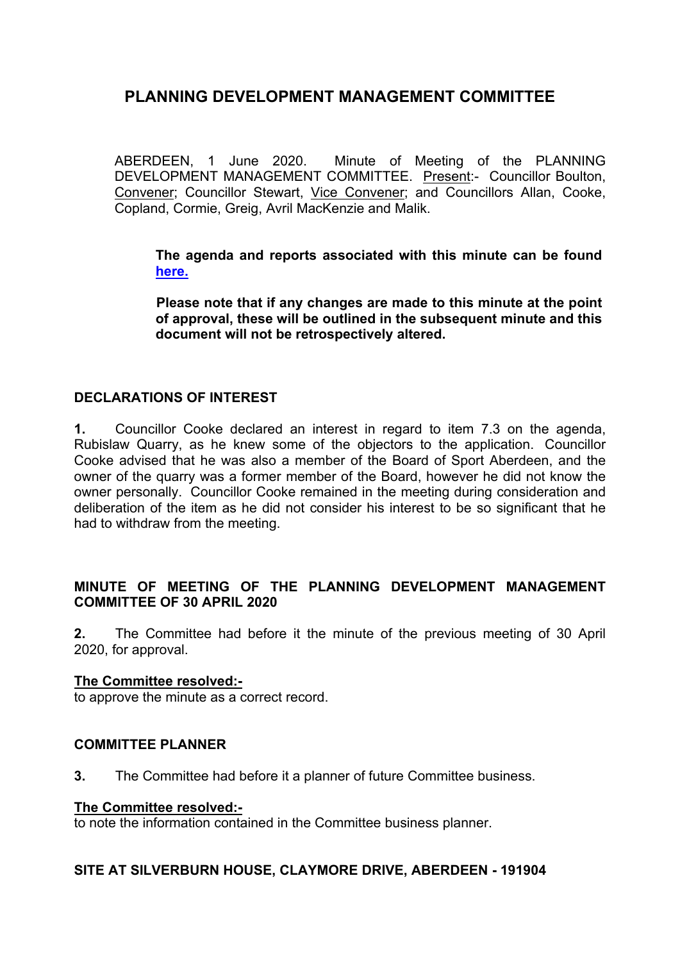ABERDEEN, 1 June 2020. Minute of Meeting of the PLANNING DEVELOPMENT MANAGEMENT COMMITTEE. Present:- Councillor Boulton, Convener; Councillor Stewart, Vice Convener; and Councillors Allan, Cooke, Copland, Cormie, Greig, Avril MacKenzie and Malik.

**The agenda and reports associated with this minute can be found [here.](https://committees.aberdeencity.gov.uk/ieListDocuments.aspx?CId=348&MId=7092&Ver=4)**

**Please note that if any changes are made to this minute at the point of approval, these will be outlined in the subsequent minute and this document will not be retrospectively altered.**

### **DECLARATIONS OF INTEREST**

**1.** Councillor Cooke declared an interest in regard to item 7.3 on the agenda, Rubislaw Quarry, as he knew some of the objectors to the application. Councillor Cooke advised that he was also a member of the Board of Sport Aberdeen, and the owner of the quarry was a former member of the Board, however he did not know the owner personally. Councillor Cooke remained in the meeting during consideration and deliberation of the item as he did not consider his interest to be so significant that he had to withdraw from the meeting.

### **MINUTE OF MEETING OF THE PLANNING DEVELOPMENT MANAGEMENT COMMITTEE OF 30 APRIL 2020**

**2.** The Committee had before it the minute of the previous meeting of 30 April 2020, for approval.

### **The Committee resolved:-**

to approve the minute as a correct record.

### **COMMITTEE PLANNER**

**3.** The Committee had before it a planner of future Committee business.

#### **The Committee resolved:-**

to note the information contained in the Committee business planner.

### **SITE AT SILVERBURN HOUSE, CLAYMORE DRIVE, ABERDEEN - 191904**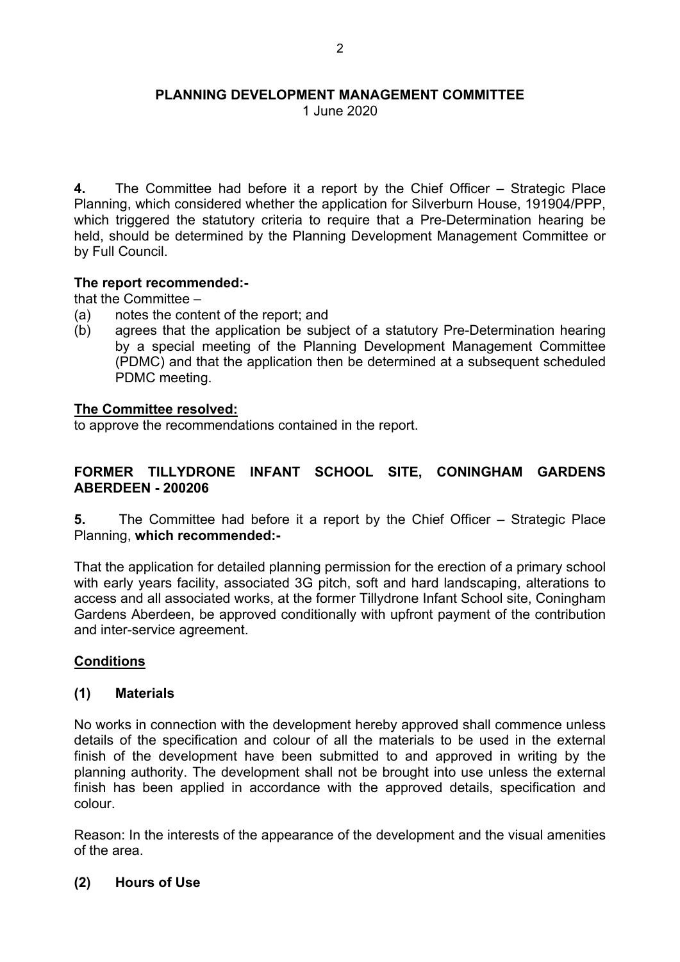1 June 2020

**4.** The Committee had before it a report by the Chief Officer – Strategic Place Planning, which considered whether the application for Silverburn House, 191904/PPP, which triggered the statutory criteria to require that a Pre-Determination hearing be held, should be determined by the Planning Development Management Committee or by Full Council.

### **The report recommended:-**

that the Committee –

- (a) notes the content of the report; and
- (b) agrees that the application be subject of a statutory Pre-Determination hearing by a special meeting of the Planning Development Management Committee (PDMC) and that the application then be determined at a subsequent scheduled PDMC meeting.

#### **The Committee resolved:**

to approve the recommendations contained in the report.

### **FORMER TILLYDRONE INFANT SCHOOL SITE, CONINGHAM GARDENS ABERDEEN - 200206**

**5.** The Committee had before it a report by the Chief Officer – Strategic Place Planning, **which recommended:-**

That the application for detailed planning permission for the erection of a primary school with early years facility, associated 3G pitch, soft and hard landscaping, alterations to access and all associated works, at the former Tillydrone Infant School site, Coningham Gardens Aberdeen, be approved conditionally with upfront payment of the contribution and inter-service agreement.

### **Conditions**

#### **(1) Materials**

No works in connection with the development hereby approved shall commence unless details of the specification and colour of all the materials to be used in the external finish of the development have been submitted to and approved in writing by the planning authority. The development shall not be brought into use unless the external finish has been applied in accordance with the approved details, specification and colour.

Reason: In the interests of the appearance of the development and the visual amenities of the area.

#### **(2) Hours of Use**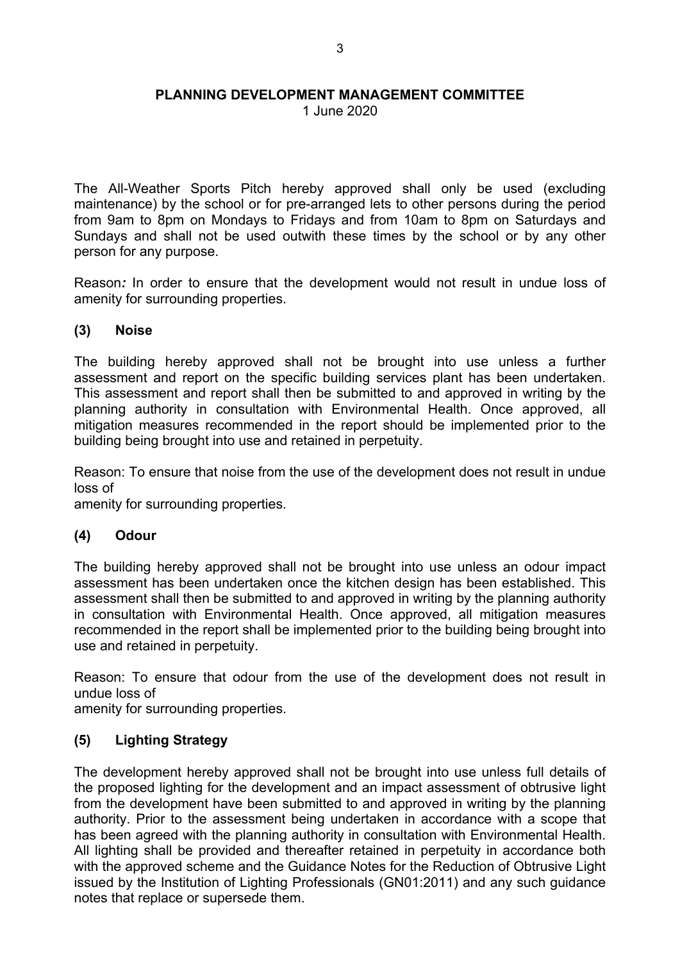1 June 2020

The All-Weather Sports Pitch hereby approved shall only be used (excluding maintenance) by the school or for pre-arranged lets to other persons during the period from 9am to 8pm on Mondays to Fridays and from 10am to 8pm on Saturdays and Sundays and shall not be used outwith these times by the school or by any other person for any purpose.

Reason*:* In order to ensure that the development would not result in undue loss of amenity for surrounding properties.

### **(3) Noise**

The building hereby approved shall not be brought into use unless a further assessment and report on the specific building services plant has been undertaken. This assessment and report shall then be submitted to and approved in writing by the planning authority in consultation with Environmental Health. Once approved, all mitigation measures recommended in the report should be implemented prior to the building being brought into use and retained in perpetuity.

Reason: To ensure that noise from the use of the development does not result in undue loss of

amenity for surrounding properties.

## **(4) Odour**

The building hereby approved shall not be brought into use unless an odour impact assessment has been undertaken once the kitchen design has been established. This assessment shall then be submitted to and approved in writing by the planning authority in consultation with Environmental Health. Once approved, all mitigation measures recommended in the report shall be implemented prior to the building being brought into use and retained in perpetuity.

Reason: To ensure that odour from the use of the development does not result in undue loss of

amenity for surrounding properties.

## **(5) Lighting Strategy**

The development hereby approved shall not be brought into use unless full details of the proposed lighting for the development and an impact assessment of obtrusive light from the development have been submitted to and approved in writing by the planning authority. Prior to the assessment being undertaken in accordance with a scope that has been agreed with the planning authority in consultation with Environmental Health. All lighting shall be provided and thereafter retained in perpetuity in accordance both with the approved scheme and the Guidance Notes for the Reduction of Obtrusive Light issued by the Institution of Lighting Professionals (GN01:2011) and any such guidance notes that replace or supersede them.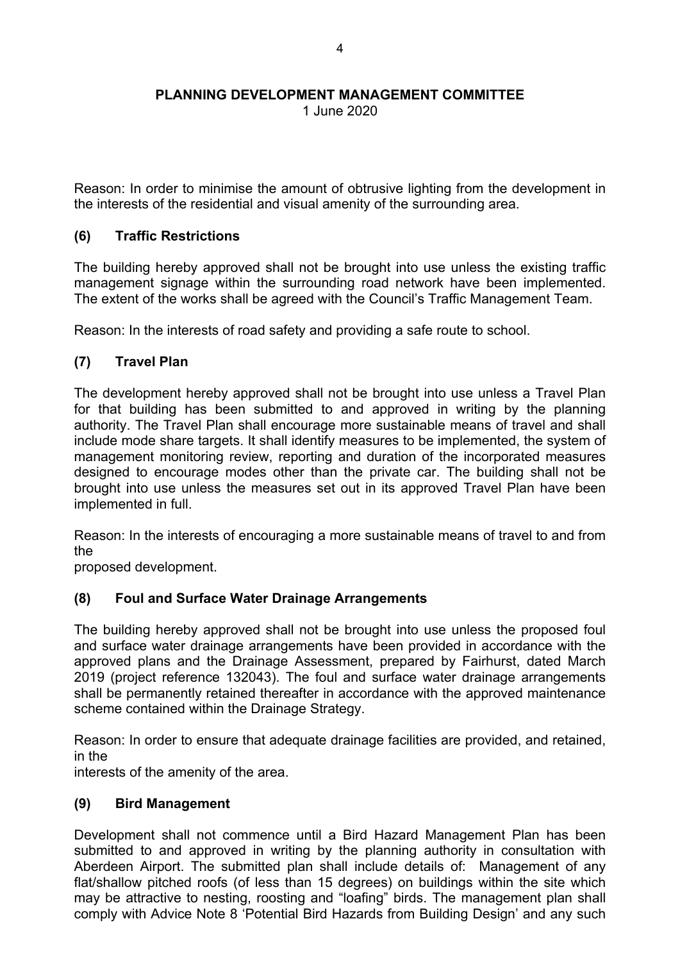1 June 2020

Reason: In order to minimise the amount of obtrusive lighting from the development in the interests of the residential and visual amenity of the surrounding area.

### **(6) Traffic Restrictions**

The building hereby approved shall not be brought into use unless the existing traffic management signage within the surrounding road network have been implemented. The extent of the works shall be agreed with the Council's Traffic Management Team.

Reason: In the interests of road safety and providing a safe route to school.

## **(7) Travel Plan**

The development hereby approved shall not be brought into use unless a Travel Plan for that building has been submitted to and approved in writing by the planning authority. The Travel Plan shall encourage more sustainable means of travel and shall include mode share targets. It shall identify measures to be implemented, the system of management monitoring review, reporting and duration of the incorporated measures designed to encourage modes other than the private car. The building shall not be brought into use unless the measures set out in its approved Travel Plan have been implemented in full.

Reason: In the interests of encouraging a more sustainable means of travel to and from the

proposed development.

### **(8) Foul and Surface Water Drainage Arrangements**

The building hereby approved shall not be brought into use unless the proposed foul and surface water drainage arrangements have been provided in accordance with the approved plans and the Drainage Assessment, prepared by Fairhurst, dated March 2019 (project reference 132043). The foul and surface water drainage arrangements shall be permanently retained thereafter in accordance with the approved maintenance scheme contained within the Drainage Strategy.

Reason: In order to ensure that adequate drainage facilities are provided, and retained, in the

interests of the amenity of the area.

### **(9) Bird Management**

Development shall not commence until a Bird Hazard Management Plan has been submitted to and approved in writing by the planning authority in consultation with Aberdeen Airport. The submitted plan shall include details of: Management of any flat/shallow pitched roofs (of less than 15 degrees) on buildings within the site which may be attractive to nesting, roosting and "loafing" birds. The management plan shall comply with Advice Note 8 'Potential Bird Hazards from Building Design' and any such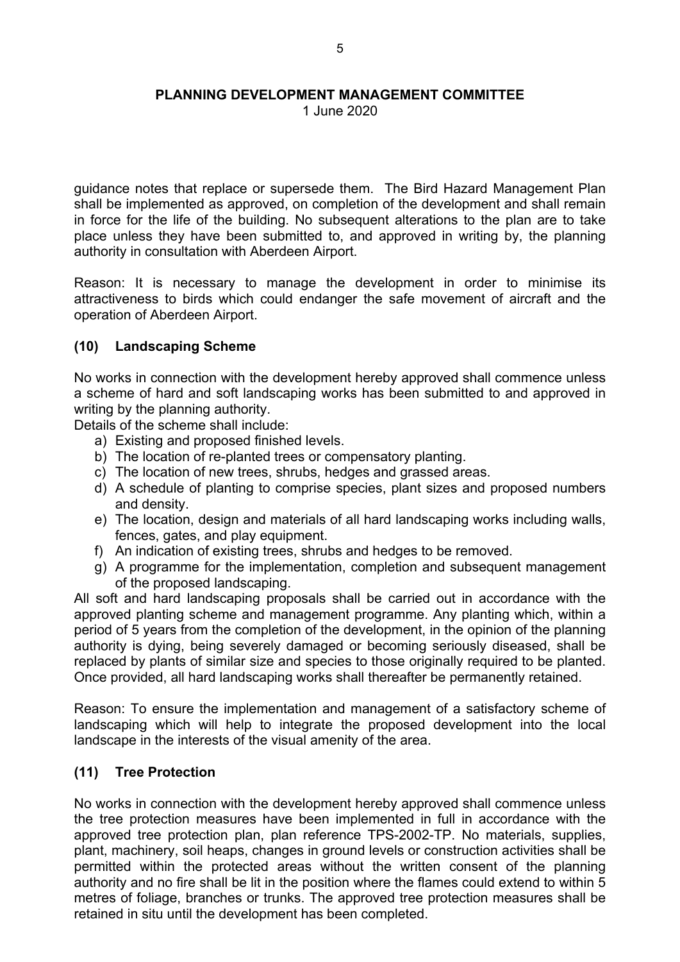1 June 2020

guidance notes that replace or supersede them. The Bird Hazard Management Plan shall be implemented as approved, on completion of the development and shall remain in force for the life of the building. No subsequent alterations to the plan are to take place unless they have been submitted to, and approved in writing by, the planning authority in consultation with Aberdeen Airport.

Reason: It is necessary to manage the development in order to minimise its attractiveness to birds which could endanger the safe movement of aircraft and the operation of Aberdeen Airport.

### **(10) Landscaping Scheme**

No works in connection with the development hereby approved shall commence unless a scheme of hard and soft landscaping works has been submitted to and approved in writing by the planning authority.

Details of the scheme shall include:

- a) Existing and proposed finished levels.
- b) The location of re-planted trees or compensatory planting.
- c) The location of new trees, shrubs, hedges and grassed areas.
- d) A schedule of planting to comprise species, plant sizes and proposed numbers and density.
- e) The location, design and materials of all hard landscaping works including walls, fences, gates, and play equipment.
- f) An indication of existing trees, shrubs and hedges to be removed.
- g) A programme for the implementation, completion and subsequent management of the proposed landscaping.

All soft and hard landscaping proposals shall be carried out in accordance with the approved planting scheme and management programme. Any planting which, within a period of 5 years from the completion of the development, in the opinion of the planning authority is dying, being severely damaged or becoming seriously diseased, shall be replaced by plants of similar size and species to those originally required to be planted. Once provided, all hard landscaping works shall thereafter be permanently retained.

Reason: To ensure the implementation and management of a satisfactory scheme of landscaping which will help to integrate the proposed development into the local landscape in the interests of the visual amenity of the area.

### **(11) Tree Protection**

No works in connection with the development hereby approved shall commence unless the tree protection measures have been implemented in full in accordance with the approved tree protection plan, plan reference TPS-2002-TP. No materials, supplies, plant, machinery, soil heaps, changes in ground levels or construction activities shall be permitted within the protected areas without the written consent of the planning authority and no fire shall be lit in the position where the flames could extend to within 5 metres of foliage, branches or trunks. The approved tree protection measures shall be retained in situ until the development has been completed.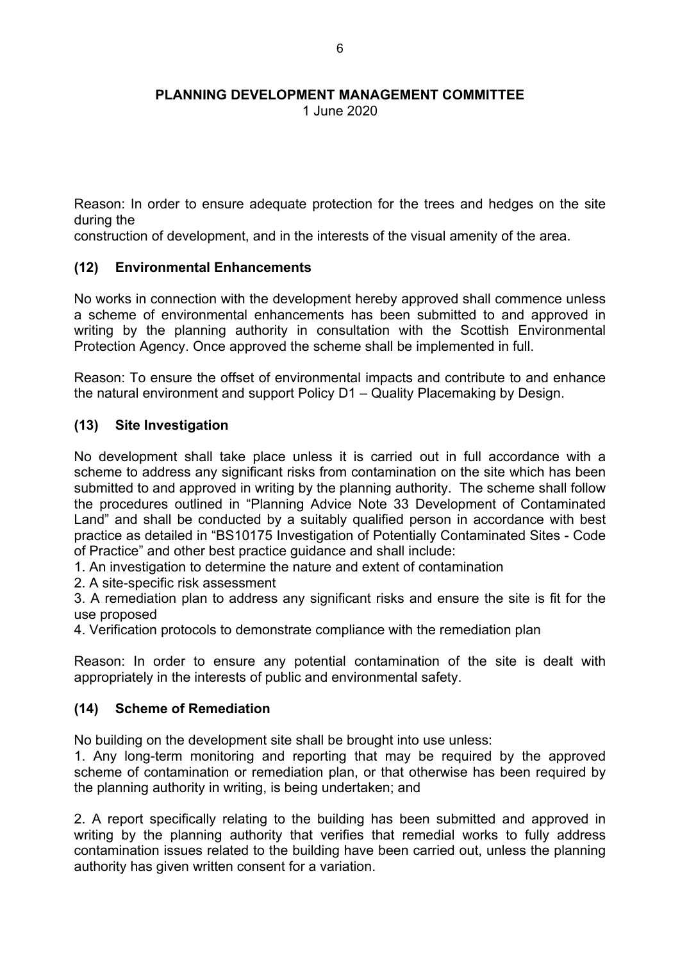1 June 2020

Reason: In order to ensure adequate protection for the trees and hedges on the site during the

construction of development, and in the interests of the visual amenity of the area.

## **(12) Environmental Enhancements**

No works in connection with the development hereby approved shall commence unless a scheme of environmental enhancements has been submitted to and approved in writing by the planning authority in consultation with the Scottish Environmental Protection Agency. Once approved the scheme shall be implemented in full.

Reason: To ensure the offset of environmental impacts and contribute to and enhance the natural environment and support Policy D1 – Quality Placemaking by Design.

## **(13) Site Investigation**

No development shall take place unless it is carried out in full accordance with a scheme to address any significant risks from contamination on the site which has been submitted to and approved in writing by the planning authority. The scheme shall follow the procedures outlined in "Planning Advice Note 33 Development of Contaminated Land" and shall be conducted by a suitably qualified person in accordance with best practice as detailed in "BS10175 Investigation of Potentially Contaminated Sites - Code of Practice" and other best practice guidance and shall include:

1. An investigation to determine the nature and extent of contamination

2. A site-specific risk assessment

3. A remediation plan to address any significant risks and ensure the site is fit for the use proposed

4. Verification protocols to demonstrate compliance with the remediation plan

Reason: In order to ensure any potential contamination of the site is dealt with appropriately in the interests of public and environmental safety.

## **(14) Scheme of Remediation**

No building on the development site shall be brought into use unless:

1. Any long-term monitoring and reporting that may be required by the approved scheme of contamination or remediation plan, or that otherwise has been required by the planning authority in writing, is being undertaken; and

2. A report specifically relating to the building has been submitted and approved in writing by the planning authority that verifies that remedial works to fully address contamination issues related to the building have been carried out, unless the planning authority has given written consent for a variation.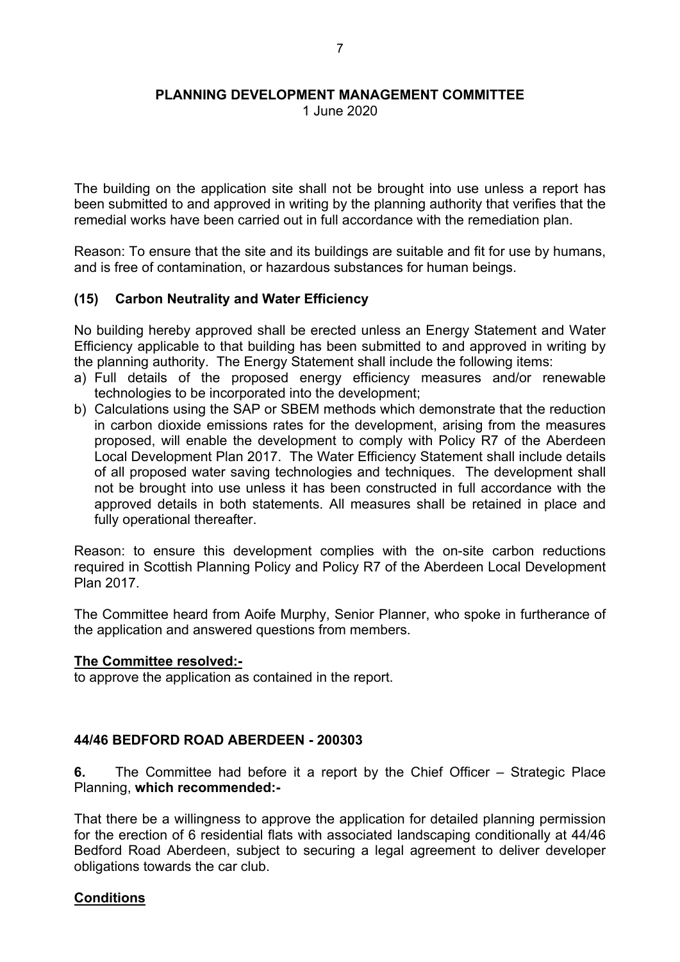1 June 2020

The building on the application site shall not be brought into use unless a report has been submitted to and approved in writing by the planning authority that verifies that the remedial works have been carried out in full accordance with the remediation plan.

Reason: To ensure that the site and its buildings are suitable and fit for use by humans, and is free of contamination, or hazardous substances for human beings.

### **(15) Carbon Neutrality and Water Efficiency**

No building hereby approved shall be erected unless an Energy Statement and Water Efficiency applicable to that building has been submitted to and approved in writing by the planning authority. The Energy Statement shall include the following items:

- a) Full details of the proposed energy efficiency measures and/or renewable technologies to be incorporated into the development;
- b) Calculations using the SAP or SBEM methods which demonstrate that the reduction in carbon dioxide emissions rates for the development, arising from the measures proposed, will enable the development to comply with Policy R7 of the Aberdeen Local Development Plan 2017. The Water Efficiency Statement shall include details of all proposed water saving technologies and techniques. The development shall not be brought into use unless it has been constructed in full accordance with the approved details in both statements. All measures shall be retained in place and fully operational thereafter.

Reason: to ensure this development complies with the on-site carbon reductions required in Scottish Planning Policy and Policy R7 of the Aberdeen Local Development Plan 2017.

The Committee heard from Aoife Murphy, Senior Planner, who spoke in furtherance of the application and answered questions from members.

### **The Committee resolved:-**

to approve the application as contained in the report.

### **44/46 BEDFORD ROAD ABERDEEN - 200303**

**6.** The Committee had before it a report by the Chief Officer – Strategic Place Planning, **which recommended:-**

That there be a willingness to approve the application for detailed planning permission for the erection of 6 residential flats with associated landscaping conditionally at 44/46 Bedford Road Aberdeen, subject to securing a legal agreement to deliver developer obligations towards the car club.

### **Conditions**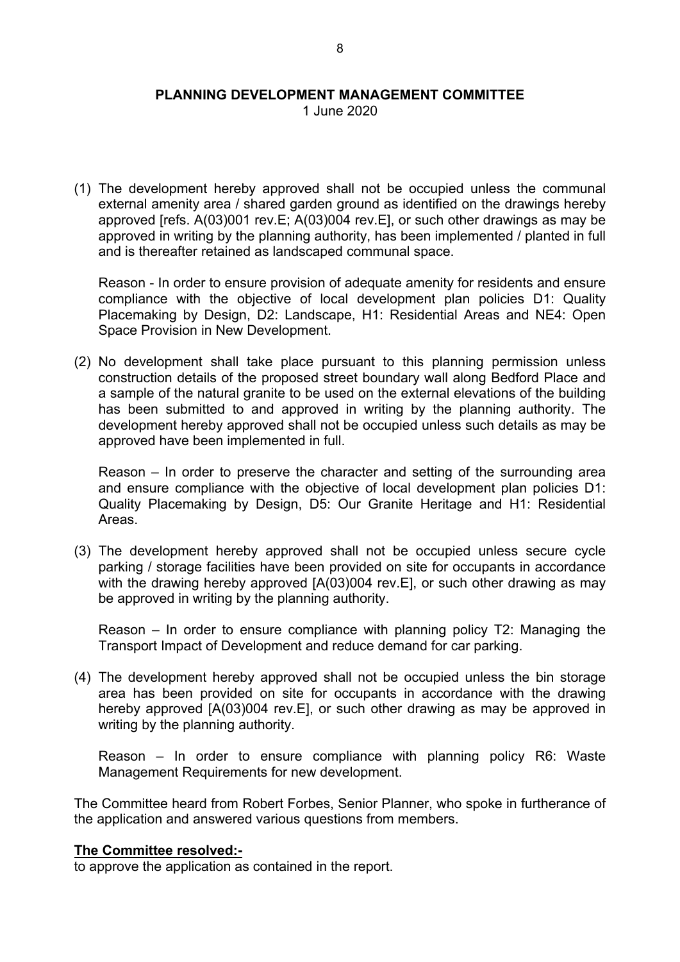1 June 2020

(1) The development hereby approved shall not be occupied unless the communal external amenity area / shared garden ground as identified on the drawings hereby approved [refs. A(03)001 rev.E; A(03)004 rev.E], or such other drawings as may be approved in writing by the planning authority, has been implemented / planted in full and is thereafter retained as landscaped communal space.

Reason - In order to ensure provision of adequate amenity for residents and ensure compliance with the objective of local development plan policies D1: Quality Placemaking by Design, D2: Landscape, H1: Residential Areas and NE4: Open Space Provision in New Development.

(2) No development shall take place pursuant to this planning permission unless construction details of the proposed street boundary wall along Bedford Place and a sample of the natural granite to be used on the external elevations of the building has been submitted to and approved in writing by the planning authority. The development hereby approved shall not be occupied unless such details as may be approved have been implemented in full.

Reason – In order to preserve the character and setting of the surrounding area and ensure compliance with the objective of local development plan policies D1: Quality Placemaking by Design, D5: Our Granite Heritage and H1: Residential Areas.

(3) The development hereby approved shall not be occupied unless secure cycle parking / storage facilities have been provided on site for occupants in accordance with the drawing hereby approved [A(03)004 rev. E], or such other drawing as may be approved in writing by the planning authority.

Reason – In order to ensure compliance with planning policy T2: Managing the Transport Impact of Development and reduce demand for car parking.

(4) The development hereby approved shall not be occupied unless the bin storage area has been provided on site for occupants in accordance with the drawing hereby approved [A(03)004 rev.E], or such other drawing as may be approved in writing by the planning authority.

Reason – In order to ensure compliance with planning policy R6: Waste Management Requirements for new development.

The Committee heard from Robert Forbes, Senior Planner, who spoke in furtherance of the application and answered various questions from members.

#### **The Committee resolved:-**

to approve the application as contained in the report.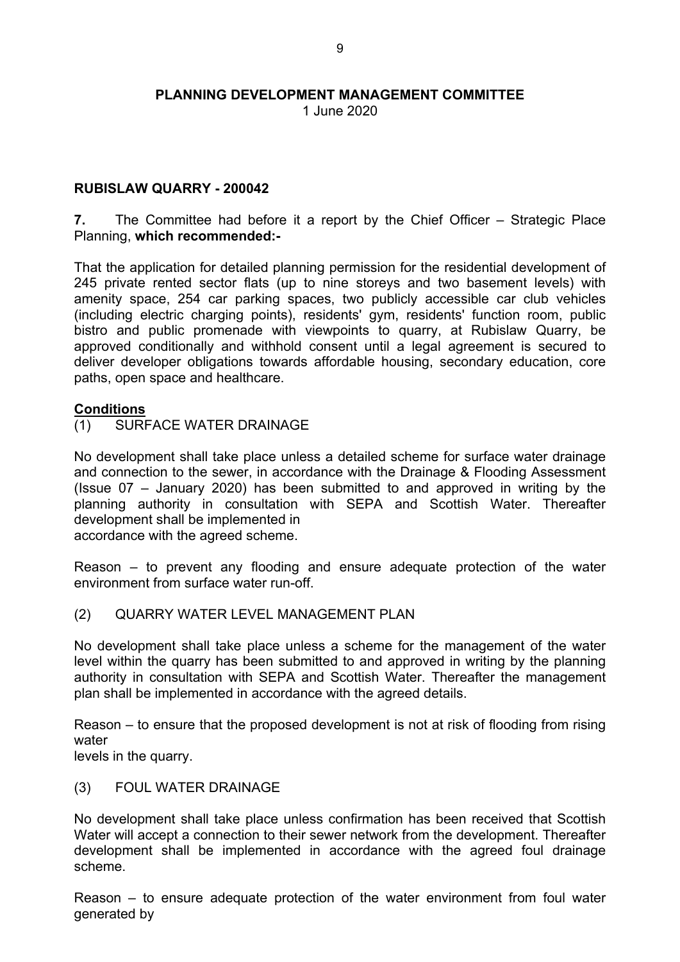1 June 2020

### **RUBISLAW QUARRY - 200042**

**7.** The Committee had before it a report by the Chief Officer – Strategic Place Planning, **which recommended:-**

That the application for detailed planning permission for the residential development of 245 private rented sector flats (up to nine storeys and two basement levels) with amenity space, 254 car parking spaces, two publicly accessible car club vehicles (including electric charging points), residents' gym, residents' function room, public bistro and public promenade with viewpoints to quarry, at Rubislaw Quarry, be approved conditionally and withhold consent until a legal agreement is secured to deliver developer obligations towards affordable housing, secondary education, core paths, open space and healthcare.

#### **Conditions**

(1) SURFACE WATER DRAINAGE

No development shall take place unless a detailed scheme for surface water drainage and connection to the sewer, in accordance with the Drainage & Flooding Assessment (Issue 07 – January 2020) has been submitted to and approved in writing by the planning authority in consultation with SEPA and Scottish Water. Thereafter development shall be implemented in

accordance with the agreed scheme.

Reason – to prevent any flooding and ensure adequate protection of the water environment from surface water run-off.

(2) QUARRY WATER LEVEL MANAGEMENT PLAN

No development shall take place unless a scheme for the management of the water level within the quarry has been submitted to and approved in writing by the planning authority in consultation with SEPA and Scottish Water. Thereafter the management plan shall be implemented in accordance with the agreed details.

Reason – to ensure that the proposed development is not at risk of flooding from rising water

levels in the quarry.

### (3) FOUL WATER DRAINAGE

No development shall take place unless confirmation has been received that Scottish Water will accept a connection to their sewer network from the development. Thereafter development shall be implemented in accordance with the agreed foul drainage scheme.

Reason – to ensure adequate protection of the water environment from foul water generated by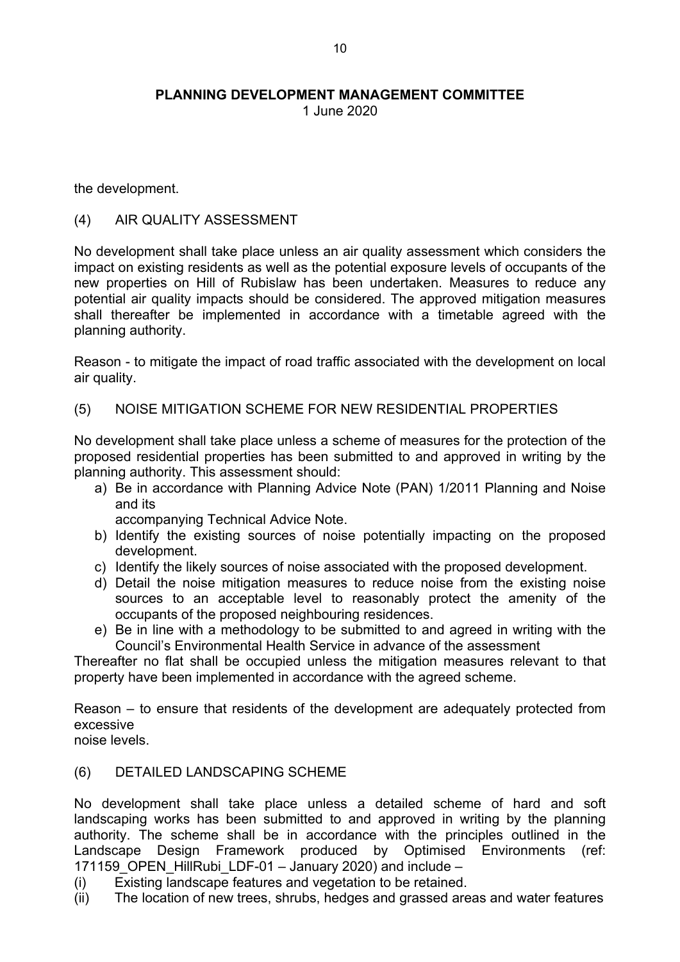1 June 2020

the development.

### (4) AIR QUALITY ASSESSMENT

No development shall take place unless an air quality assessment which considers the impact on existing residents as well as the potential exposure levels of occupants of the new properties on Hill of Rubislaw has been undertaken. Measures to reduce any potential air quality impacts should be considered. The approved mitigation measures shall thereafter be implemented in accordance with a timetable agreed with the planning authority.

Reason - to mitigate the impact of road traffic associated with the development on local air quality.

### (5) NOISE MITIGATION SCHEME FOR NEW RESIDENTIAL PROPERTIES

No development shall take place unless a scheme of measures for the protection of the proposed residential properties has been submitted to and approved in writing by the planning authority. This assessment should:

a) Be in accordance with Planning Advice Note (PAN) 1/2011 Planning and Noise and its

accompanying Technical Advice Note.

- b) Identify the existing sources of noise potentially impacting on the proposed development.
- c) Identify the likely sources of noise associated with the proposed development.
- d) Detail the noise mitigation measures to reduce noise from the existing noise sources to an acceptable level to reasonably protect the amenity of the occupants of the proposed neighbouring residences.
- e) Be in line with a methodology to be submitted to and agreed in writing with the Council's Environmental Health Service in advance of the assessment

Thereafter no flat shall be occupied unless the mitigation measures relevant to that property have been implemented in accordance with the agreed scheme.

Reason – to ensure that residents of the development are adequately protected from excessive

noise levels.

### (6) DETAILED LANDSCAPING SCHEME

No development shall take place unless a detailed scheme of hard and soft landscaping works has been submitted to and approved in writing by the planning authority. The scheme shall be in accordance with the principles outlined in the Landscape Design Framework produced by Optimised Environments (ref: 171159 OPEN HillRubi LDF-01 – January 2020) and include –

- (i) Existing landscape features and vegetation to be retained.
- (ii) The location of new trees, shrubs, hedges and grassed areas and water features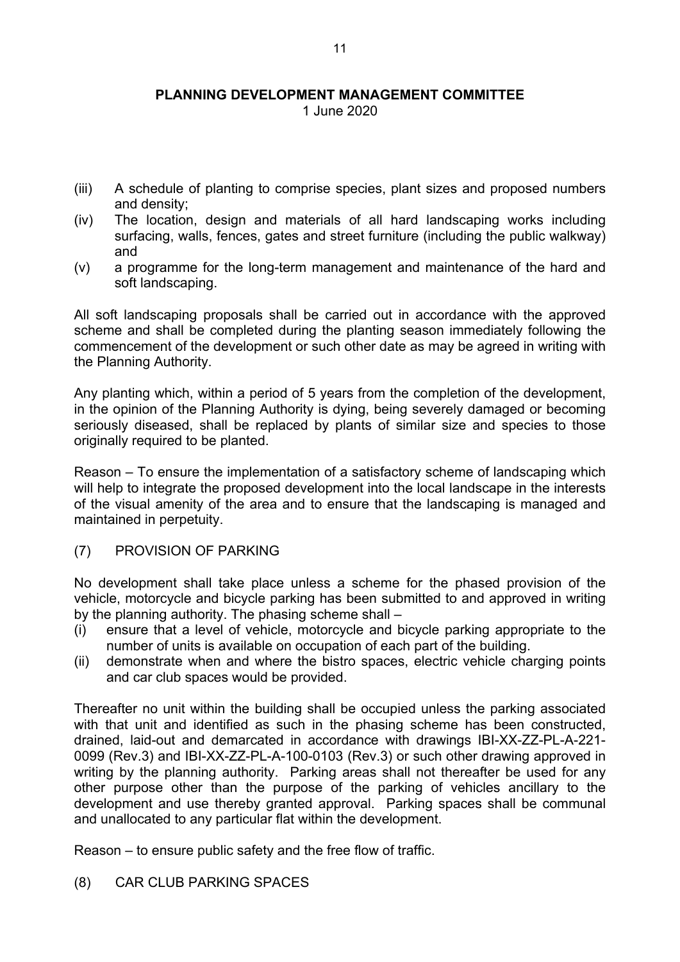1 June 2020

- (iii) A schedule of planting to comprise species, plant sizes and proposed numbers and density;
- (iv) The location, design and materials of all hard landscaping works including surfacing, walls, fences, gates and street furniture (including the public walkway) and
- (v) a programme for the long-term management and maintenance of the hard and soft landscaping.

All soft landscaping proposals shall be carried out in accordance with the approved scheme and shall be completed during the planting season immediately following the commencement of the development or such other date as may be agreed in writing with the Planning Authority.

Any planting which, within a period of 5 years from the completion of the development, in the opinion of the Planning Authority is dying, being severely damaged or becoming seriously diseased, shall be replaced by plants of similar size and species to those originally required to be planted.

Reason – To ensure the implementation of a satisfactory scheme of landscaping which will help to integrate the proposed development into the local landscape in the interests of the visual amenity of the area and to ensure that the landscaping is managed and maintained in perpetuity.

### (7) PROVISION OF PARKING

No development shall take place unless a scheme for the phased provision of the vehicle, motorcycle and bicycle parking has been submitted to and approved in writing by the planning authority. The phasing scheme shall –

- (i) ensure that a level of vehicle, motorcycle and bicycle parking appropriate to the number of units is available on occupation of each part of the building.
- (ii) demonstrate when and where the bistro spaces, electric vehicle charging points and car club spaces would be provided.

Thereafter no unit within the building shall be occupied unless the parking associated with that unit and identified as such in the phasing scheme has been constructed, drained, laid-out and demarcated in accordance with drawings IBI-XX-ZZ-PL-A-221- 0099 (Rev.3) and IBI-XX-ZZ-PL-A-100-0103 (Rev.3) or such other drawing approved in writing by the planning authority. Parking areas shall not thereafter be used for any other purpose other than the purpose of the parking of vehicles ancillary to the development and use thereby granted approval. Parking spaces shall be communal and unallocated to any particular flat within the development.

Reason – to ensure public safety and the free flow of traffic.

(8) CAR CLUB PARKING SPACES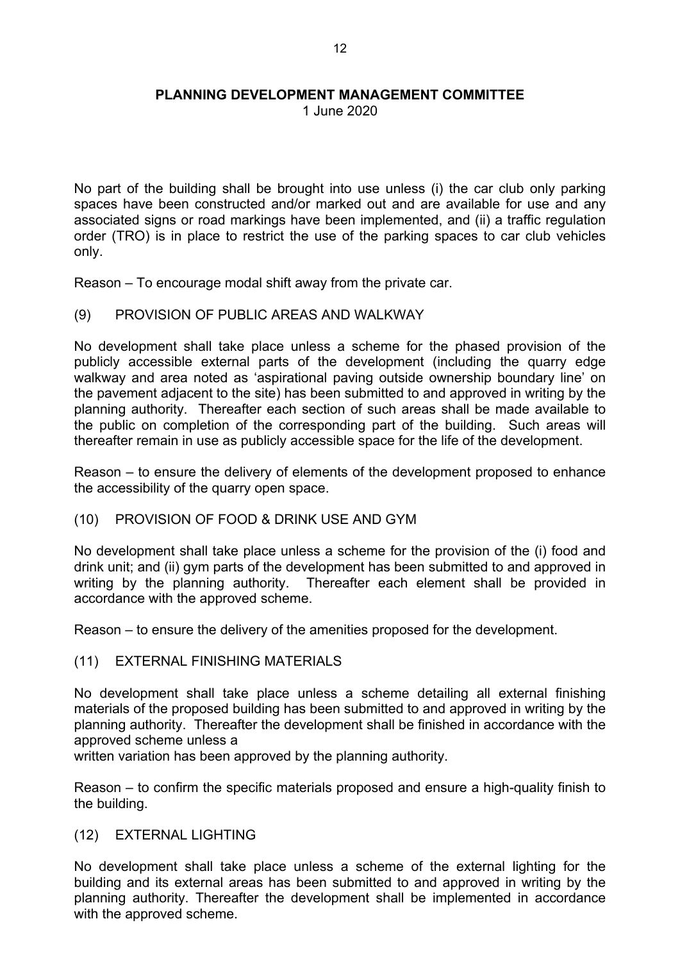1 June 2020

No part of the building shall be brought into use unless (i) the car club only parking spaces have been constructed and/or marked out and are available for use and any associated signs or road markings have been implemented, and (ii) a traffic regulation order (TRO) is in place to restrict the use of the parking spaces to car club vehicles only.

Reason – To encourage modal shift away from the private car.

(9) PROVISION OF PUBLIC AREAS AND WALKWAY

No development shall take place unless a scheme for the phased provision of the publicly accessible external parts of the development (including the quarry edge walkway and area noted as 'aspirational paving outside ownership boundary line' on the pavement adjacent to the site) has been submitted to and approved in writing by the planning authority. Thereafter each section of such areas shall be made available to the public on completion of the corresponding part of the building. Such areas will thereafter remain in use as publicly accessible space for the life of the development.

Reason – to ensure the delivery of elements of the development proposed to enhance the accessibility of the quarry open space.

(10) PROVISION OF FOOD & DRINK USE AND GYM

No development shall take place unless a scheme for the provision of the (i) food and drink unit; and (ii) gym parts of the development has been submitted to and approved in writing by the planning authority. Thereafter each element shall be provided in accordance with the approved scheme.

Reason – to ensure the delivery of the amenities proposed for the development.

(11) EXTERNAL FINISHING MATERIALS

No development shall take place unless a scheme detailing all external finishing materials of the proposed building has been submitted to and approved in writing by the planning authority. Thereafter the development shall be finished in accordance with the approved scheme unless a

written variation has been approved by the planning authority.

Reason – to confirm the specific materials proposed and ensure a high-quality finish to the building.

(12) EXTERNAL LIGHTING

No development shall take place unless a scheme of the external lighting for the building and its external areas has been submitted to and approved in writing by the planning authority. Thereafter the development shall be implemented in accordance with the approved scheme.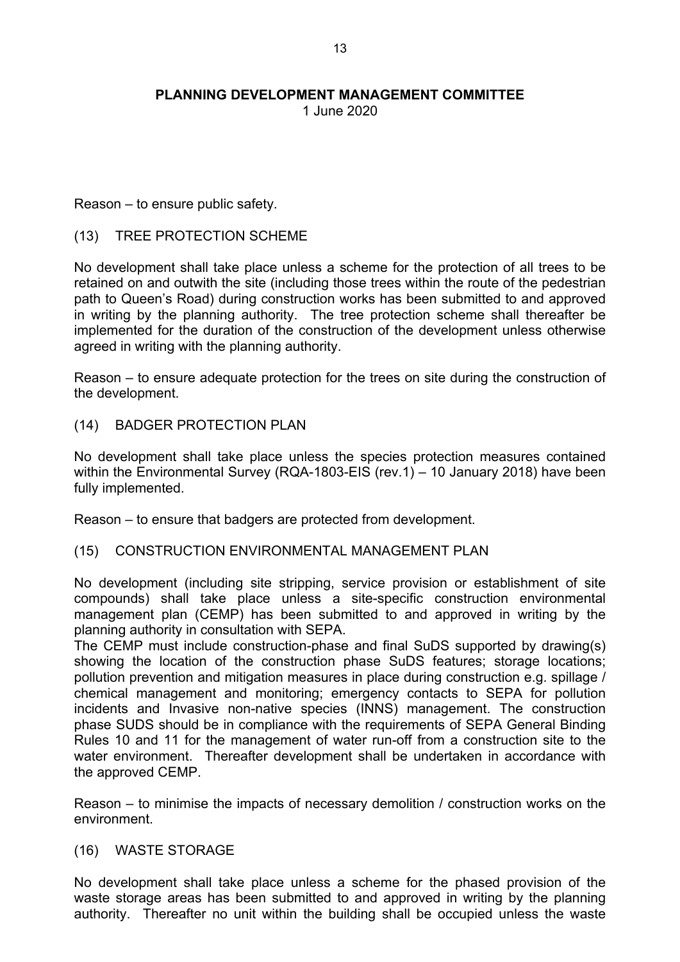1 June 2020

Reason – to ensure public safety.

### (13) TREE PROTECTION SCHEME

No development shall take place unless a scheme for the protection of all trees to be retained on and outwith the site (including those trees within the route of the pedestrian path to Queen's Road) during construction works has been submitted to and approved in writing by the planning authority. The tree protection scheme shall thereafter be implemented for the duration of the construction of the development unless otherwise agreed in writing with the planning authority.

Reason – to ensure adequate protection for the trees on site during the construction of the development.

(14) BADGER PROTECTION PLAN

No development shall take place unless the species protection measures contained within the Environmental Survey (RQA-1803-EIS (rev.1) – 10 January 2018) have been fully implemented.

Reason – to ensure that badgers are protected from development.

### (15) CONSTRUCTION ENVIRONMENTAL MANAGEMENT PLAN

No development (including site stripping, service provision or establishment of site compounds) shall take place unless a site-specific construction environmental management plan (CEMP) has been submitted to and approved in writing by the planning authority in consultation with SEPA.

The CEMP must include construction-phase and final SuDS supported by drawing(s) showing the location of the construction phase SuDS features; storage locations; pollution prevention and mitigation measures in place during construction e.g. spillage / chemical management and monitoring; emergency contacts to SEPA for pollution incidents and Invasive non-native species (INNS) management. The construction phase SUDS should be in compliance with the requirements of SEPA General Binding Rules 10 and 11 for the management of water run-off from a construction site to the water environment. Thereafter development shall be undertaken in accordance with the approved CEMP.

Reason – to minimise the impacts of necessary demolition / construction works on the environment.

(16) WASTE STORAGE

No development shall take place unless a scheme for the phased provision of the waste storage areas has been submitted to and approved in writing by the planning authority. Thereafter no unit within the building shall be occupied unless the waste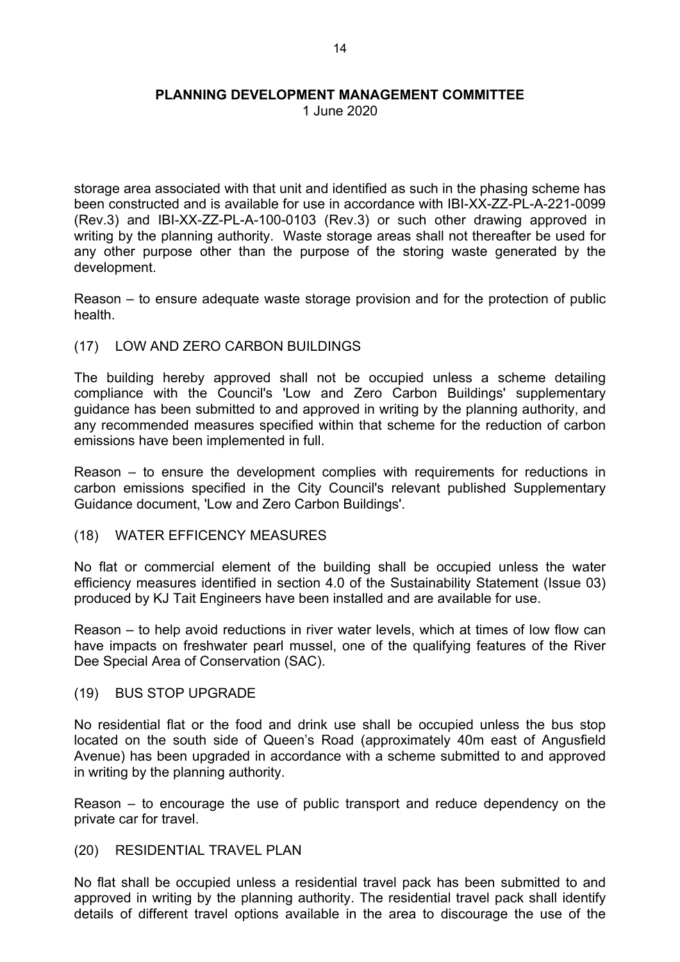1 June 2020

storage area associated with that unit and identified as such in the phasing scheme has been constructed and is available for use in accordance with IBI-XX-ZZ-PL-A-221-0099 (Rev.3) and IBI-XX-ZZ-PL-A-100-0103 (Rev.3) or such other drawing approved in writing by the planning authority. Waste storage areas shall not thereafter be used for any other purpose other than the purpose of the storing waste generated by the development.

Reason – to ensure adequate waste storage provision and for the protection of public health.

(17) LOW AND ZERO CARBON BUILDINGS

The building hereby approved shall not be occupied unless a scheme detailing compliance with the Council's 'Low and Zero Carbon Buildings' supplementary guidance has been submitted to and approved in writing by the planning authority, and any recommended measures specified within that scheme for the reduction of carbon emissions have been implemented in full.

Reason – to ensure the development complies with requirements for reductions in carbon emissions specified in the City Council's relevant published Supplementary Guidance document, 'Low and Zero Carbon Buildings'.

(18) WATER EFFICENCY MEASURES

No flat or commercial element of the building shall be occupied unless the water efficiency measures identified in section 4.0 of the Sustainability Statement (Issue 03) produced by KJ Tait Engineers have been installed and are available for use.

Reason – to help avoid reductions in river water levels, which at times of low flow can have impacts on freshwater pearl mussel, one of the qualifying features of the River Dee Special Area of Conservation (SAC).

(19) BUS STOP UPGRADE

No residential flat or the food and drink use shall be occupied unless the bus stop located on the south side of Queen's Road (approximately 40m east of Angusfield Avenue) has been upgraded in accordance with a scheme submitted to and approved in writing by the planning authority.

Reason – to encourage the use of public transport and reduce dependency on the private car for travel.

(20) RESIDENTIAL TRAVEL PLAN

No flat shall be occupied unless a residential travel pack has been submitted to and approved in writing by the planning authority. The residential travel pack shall identify details of different travel options available in the area to discourage the use of the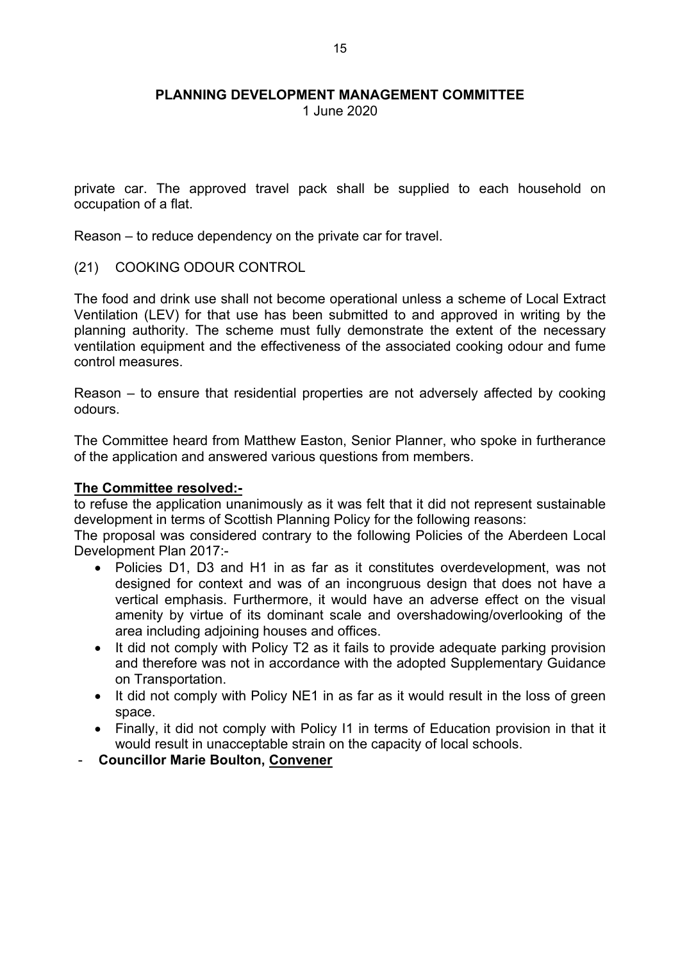1 June 2020

private car. The approved travel pack shall be supplied to each household on occupation of a flat.

Reason – to reduce dependency on the private car for travel.

(21) COOKING ODOUR CONTROL

The food and drink use shall not become operational unless a scheme of Local Extract Ventilation (LEV) for that use has been submitted to and approved in writing by the planning authority. The scheme must fully demonstrate the extent of the necessary ventilation equipment and the effectiveness of the associated cooking odour and fume control measures.

Reason – to ensure that residential properties are not adversely affected by cooking odours.

The Committee heard from Matthew Easton, Senior Planner, who spoke in furtherance of the application and answered various questions from members.

#### **The Committee resolved:-**

to refuse the application unanimously as it was felt that it did not represent sustainable development in terms of Scottish Planning Policy for the following reasons:

The proposal was considered contrary to the following Policies of the Aberdeen Local Development Plan 2017:-

- Policies D1, D3 and H1 in as far as it constitutes overdevelopment, was not designed for context and was of an incongruous design that does not have a vertical emphasis. Furthermore, it would have an adverse effect on the visual amenity by virtue of its dominant scale and overshadowing/overlooking of the area including adjoining houses and offices.
- It did not comply with Policy T2 as it fails to provide adequate parking provision and therefore was not in accordance with the adopted Supplementary Guidance on Transportation.
- It did not comply with Policy NE1 in as far as it would result in the loss of green space.
- Finally, it did not comply with Policy I1 in terms of Education provision in that it would result in unacceptable strain on the capacity of local schools.
- **Councillor Marie Boulton, Convener**